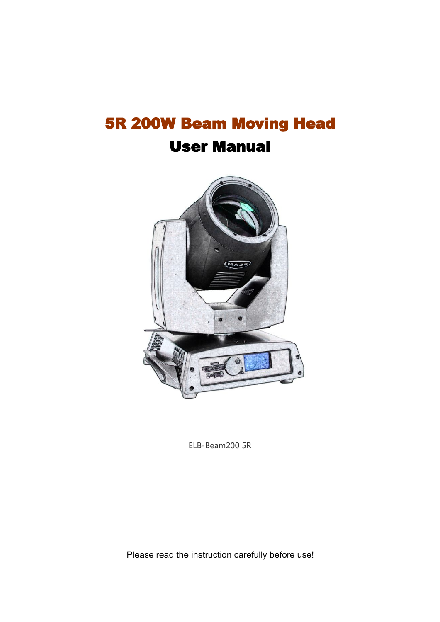## 5R 200W Beam Moving Head

## User Manual



ELB-Beam200 5R

Please read the instruction carefully before use!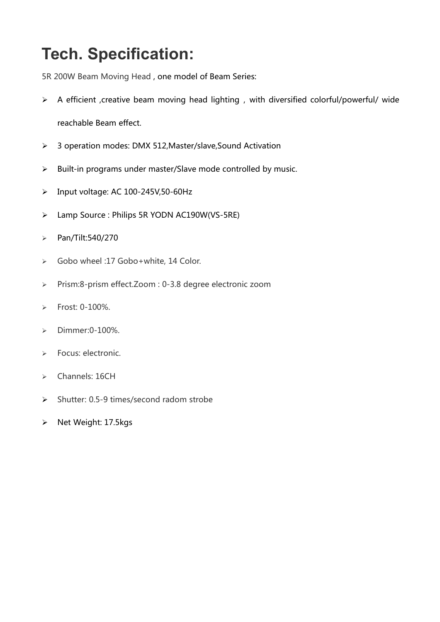## **Tech. Specification:**

5R 200W Beam Moving Head , one model of Beam Series:

- $\triangleright$  A efficient , creative beam moving head lighting, with diversified colorful/powerful/ wide reachable Beam effect.
- > 3 operation modes: DMX 512, Master/slave, Sound Activation
- > Built-in programs under master/Slave mode controlled by music.
- > Input voltage: AC 100-245V,50-60Hz
- Lamp Source : Philips 5R YODN AC190W(VS-5RE)
- $\triangleright$  Pan/Tilt:540/270
- Gobo wheel :17 Gobo+white,14 Color.
- Prism:8-prism effect.Zoom : 0-3.8 degree electronic zoom
- Frost: 0-100%.
- $\triangleright$  Dimmer: 0-100%.
- > Focus: electronic.
- $\triangleright$  Channels: 16CH
- $\geq$  Shutter: 0.5-9 times/second radom strobe
- > Net Weight: 17.5kgs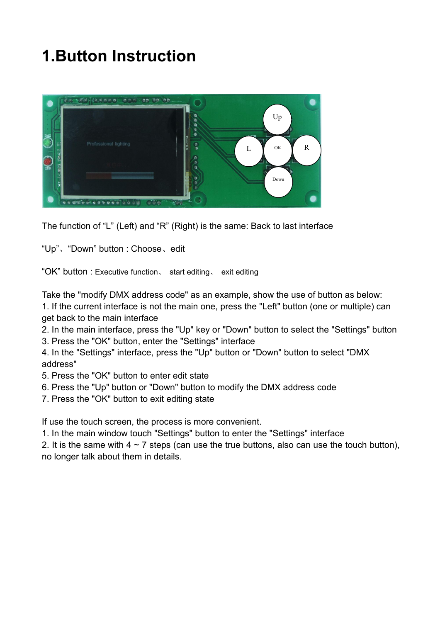# **1.Button Instruction**



The function of "L" (Left) and "R" (Right) is the same: Back to last interface

"Up"、"Down" button : Choose、edit

"OK" button : Executive function、 start editing、 exit editing

Take the "modify DMX address code" as an example, show the use of button as below:

1. If the current interface is not the main one, press the "Left" button (one or multiple) can get back to the main interface

2. In the main interface, press the "Up" key or "Down" button to select the "Settings" button

3. Press the "OK" button, enter the "Settings" interface

4. In the "Settings" interface, press the "Up" button or "Down" button to select "DMX address"

- 5. Press the "OK" button to enter edit state
- 6. Press the "Up" button or "Down" button to modify the DMX address code
- 7. Press the "OK" button to exit editing state

If use the touch screen, the process is more convenient.

1. In the main window touch "Settings" button to enter the "Settings" interface

2. It is the same with  $4 \sim 7$  steps (can use the true buttons, also can use the touch button), no longer talk about them in details.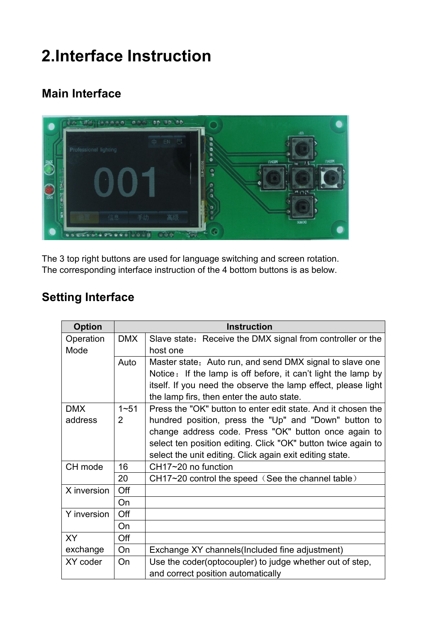# **2.Interface Instruction**

## **Main Interface**



The 3 top right buttons are used for language switching and screen rotation. The corresponding interface instruction of the 4 bottom buttons is as below.

### **Setting Interface**

| <b>Option</b> |            | <b>Instruction</b>                                            |  |
|---------------|------------|---------------------------------------------------------------|--|
| Operation     | <b>DMX</b> | Slave state: Receive the DMX signal from controller or the    |  |
| Mode          | host one   |                                                               |  |
|               | Auto       | Master state: Auto run, and send DMX signal to slave one      |  |
|               |            | Notice: If the lamp is off before, it can't light the lamp by |  |
|               |            | itself. If you need the observe the lamp effect, please light |  |
|               |            | the lamp firs, then enter the auto state.                     |  |
| <b>DMX</b>    | $1 - 51$   | Press the "OK" button to enter edit state. And it chosen the  |  |
| address       | 2          | hundred position, press the "Up" and "Down" button to         |  |
|               |            | change address code. Press "OK" button once again to          |  |
|               |            | select ten position editing. Click "OK" button twice again to |  |
|               |            | select the unit editing. Click again exit editing state.      |  |
| 16<br>CH mode |            | CH17~20 no function                                           |  |
|               | 20         | CH17~20 control the speed (See the channel table)             |  |
| X inversion   | Off        |                                                               |  |
|               | On         |                                                               |  |
| Y inversion   | Off        |                                                               |  |
|               | On         |                                                               |  |
| <b>XY</b>     | Off        |                                                               |  |
| exchange      | On         | Exchange XY channels (Included fine adjustment)               |  |
| XY coder      | On         | Use the coder (optocoupler) to judge whether out of step,     |  |
|               |            | and correct position automatically                            |  |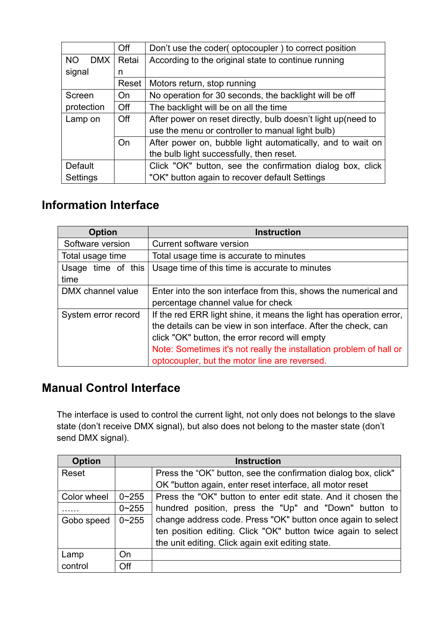| Off<br>Don't use the coder(optocoupler) to correct position<br>According to the original state to continue running<br><b>NO</b><br>DMX<br>Retai<br>signal<br>n<br>Motors return, stop running<br>Reset<br>No operation for 30 seconds, the backlight will be off<br>Screen<br>On<br>Off<br>protection<br>The backlight will be on all the time<br>Off<br>After power on reset directly, bulb doesn't light up(need to<br>Lamp on<br>use the menu or controller to manual light bulb)<br><b>On</b><br>the bulb light successfully, then reset.<br>Default<br>"OK" button again to recover default Settings<br>Settings |  |  |  |  |
|-----------------------------------------------------------------------------------------------------------------------------------------------------------------------------------------------------------------------------------------------------------------------------------------------------------------------------------------------------------------------------------------------------------------------------------------------------------------------------------------------------------------------------------------------------------------------------------------------------------------------|--|--|--|--|
| After power on, bubble light automatically, and to wait on<br>Click "OK" button, see the confirmation dialog box, click                                                                                                                                                                                                                                                                                                                                                                                                                                                                                               |  |  |  |  |
|                                                                                                                                                                                                                                                                                                                                                                                                                                                                                                                                                                                                                       |  |  |  |  |
|                                                                                                                                                                                                                                                                                                                                                                                                                                                                                                                                                                                                                       |  |  |  |  |
|                                                                                                                                                                                                                                                                                                                                                                                                                                                                                                                                                                                                                       |  |  |  |  |
|                                                                                                                                                                                                                                                                                                                                                                                                                                                                                                                                                                                                                       |  |  |  |  |
|                                                                                                                                                                                                                                                                                                                                                                                                                                                                                                                                                                                                                       |  |  |  |  |
|                                                                                                                                                                                                                                                                                                                                                                                                                                                                                                                                                                                                                       |  |  |  |  |
|                                                                                                                                                                                                                                                                                                                                                                                                                                                                                                                                                                                                                       |  |  |  |  |
|                                                                                                                                                                                                                                                                                                                                                                                                                                                                                                                                                                                                                       |  |  |  |  |
|                                                                                                                                                                                                                                                                                                                                                                                                                                                                                                                                                                                                                       |  |  |  |  |
|                                                                                                                                                                                                                                                                                                                                                                                                                                                                                                                                                                                                                       |  |  |  |  |
|                                                                                                                                                                                                                                                                                                                                                                                                                                                                                                                                                                                                                       |  |  |  |  |

### **Information Interface**

| <b>Option</b>              | <b>Instruction</b>                                                                                                                                                                                                                                                                                              |  |  |
|----------------------------|-----------------------------------------------------------------------------------------------------------------------------------------------------------------------------------------------------------------------------------------------------------------------------------------------------------------|--|--|
| Software version           | Current software version                                                                                                                                                                                                                                                                                        |  |  |
| Total usage time           | Total usage time is accurate to minutes                                                                                                                                                                                                                                                                         |  |  |
| Usage time of this<br>time | Usage time of this time is accurate to minutes                                                                                                                                                                                                                                                                  |  |  |
| DMX channel value          | Enter into the son interface from this, shows the numerical and<br>percentage channel value for check                                                                                                                                                                                                           |  |  |
| System error record        | If the red ERR light shine, it means the light has operation error,<br>the details can be view in son interface. After the check, can<br>click "OK" button, the error record will empty<br>Note: Sometimes it's not really the installation problem of hall or<br>optocoupler, but the motor line are reversed. |  |  |

## **Manual Control Interface**

The interface is used to control the current light, not only does not belongs to the slave state (don't receive DMX signal), but also does not belong to the master state (don't send DMX signal).

| <b>Option</b> |           | <b>Instruction</b>                                                                                                                                                                |  |  |
|---------------|-----------|-----------------------------------------------------------------------------------------------------------------------------------------------------------------------------------|--|--|
| Reset         |           | Press the "OK" button, see the confirmation dialog box, click"                                                                                                                    |  |  |
|               |           | OK "button again, enter reset interface, all motor reset                                                                                                                          |  |  |
| Color wheel   | $0 - 255$ | Press the "OK" button to enter edit state. And it chosen the                                                                                                                      |  |  |
| .             | $0 - 255$ | hundred position, press the "Up" and "Down" button to                                                                                                                             |  |  |
| Gobo speed    | $0 - 255$ | change address code. Press "OK" button once again to select<br>ten position editing. Click "OK" button twice again to select<br>the unit editing. Click again exit editing state. |  |  |
| Lamp          | On        |                                                                                                                                                                                   |  |  |
| control       | Off       |                                                                                                                                                                                   |  |  |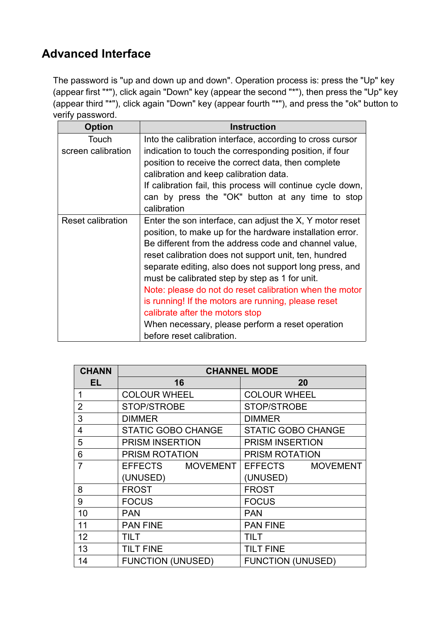### **Advanced Interface**

The password is "up and down up and down". Operation process is: press the "Up" key (appear first "\*"), click again "Down" key (appear the second "\*"), then press the "Up" key (appear third "\*"), click again "Down" key (appear fourth "\*"), and press the "ok" button to verify password.

| <b>Option</b>            | <b>Instruction</b>                                          |  |  |
|--------------------------|-------------------------------------------------------------|--|--|
| Touch                    | Into the calibration interface, according to cross cursor   |  |  |
| screen calibration       | indication to touch the corresponding position, if four     |  |  |
|                          | position to receive the correct data, then complete         |  |  |
|                          | calibration and keep calibration data.                      |  |  |
|                          | If calibration fail, this process will continue cycle down, |  |  |
|                          | can by press the "OK" button at any time to stop            |  |  |
|                          | calibration                                                 |  |  |
| <b>Reset calibration</b> | Enter the son interface, can adjust the X, Y motor reset    |  |  |
|                          | position, to make up for the hardware installation error.   |  |  |
|                          | Be different from the address code and channel value,       |  |  |
|                          | reset calibration does not support unit, ten, hundred       |  |  |
|                          | separate editing, also does not support long press, and     |  |  |
|                          | must be calibrated step by step as 1 for unit.              |  |  |
|                          | Note: please do not do reset calibration when the motor     |  |  |
|                          | is running! If the motors are running, please reset         |  |  |
|                          | calibrate after the motors stop                             |  |  |
|                          | When necessary, please perform a reset operation            |  |  |
|                          | before reset calibration.                                   |  |  |

| <b>CHANN</b>   | <b>CHANNEL MODE</b>               |                                   |  |
|----------------|-----------------------------------|-----------------------------------|--|
| <b>EL</b>      | 16                                | 20                                |  |
|                | <b>COLOUR WHEEL</b>               | <b>COLOUR WHEEL</b>               |  |
| $\overline{2}$ | STOP/STROBE                       | STOP/STROBE                       |  |
| 3              | <b>DIMMER</b>                     | <b>DIMMER</b>                     |  |
| $\overline{4}$ | <b>STATIC GOBO CHANGE</b>         | <b>STATIC GOBO CHANGE</b>         |  |
| 5              | PRISM INSERTION                   | <b>PRISM INSERTION</b>            |  |
| $6\phantom{1}$ | <b>PRISM ROTATION</b>             | <b>PRISM ROTATION</b>             |  |
| $\overline{7}$ | <b>EFFECTS</b><br><b>MOVEMENT</b> | <b>EFFECTS</b><br><b>MOVEMENT</b> |  |
|                | (UNUSED)                          | (UNUSED)                          |  |
| 8              | <b>FROST</b>                      | <b>FROST</b>                      |  |
| 9              | <b>FOCUS</b>                      | <b>FOCUS</b>                      |  |
| 10             | <b>PAN</b>                        | <b>PAN</b>                        |  |
| 11             | <b>PAN FINE</b>                   | <b>PAN FINE</b>                   |  |
| 12             | <b>TILT</b>                       | <b>TILT</b>                       |  |
| 13             | <b>TILT FINE</b>                  | <b>TILT FINE</b>                  |  |
| 14             | <b>FUNCTION (UNUSED)</b>          | <b>FUNCTION (UNUSED)</b>          |  |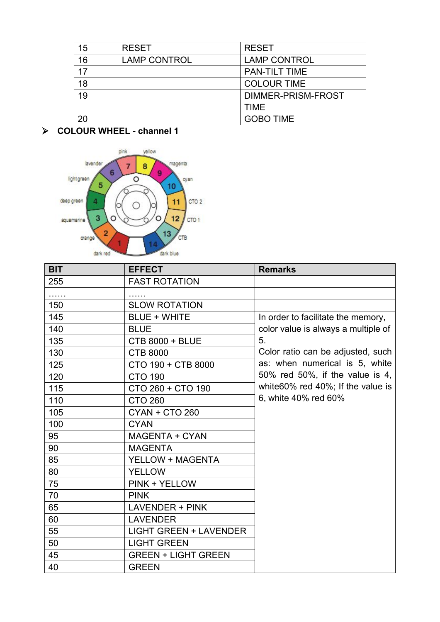| 15 | <b>RESET</b>        | <b>RESET</b>         |
|----|---------------------|----------------------|
| 16 | <b>LAMP CONTROL</b> | <b>LAMP CONTROL</b>  |
| 17 |                     | <b>PAN-TILT TIME</b> |
| 18 | <b>COLOUR TIME</b>  |                      |
| 19 | DIMMER-PRISM-FROST  |                      |
|    |                     | <b>TIME</b>          |
| 20 |                     | <b>GOBO TIME</b>     |

#### **COLOUR WHEEL - channel 1**



| <b>BIT</b> | <b>EFFECT</b>                 | <b>Remarks</b>                      |
|------------|-------------------------------|-------------------------------------|
| 255        | <b>FAST ROTATION</b>          |                                     |
| .          |                               |                                     |
| 150        | <b>SLOW ROTATION</b>          |                                     |
| 145        | <b>BLUE + WHITE</b>           | In order to facilitate the memory,  |
| 140        | <b>BLUE</b>                   | color value is always a multiple of |
| 135        | <b>CTB 8000 + BLUE</b>        | 5.                                  |
| 130        | <b>CTB 8000</b>               | Color ratio can be adjusted, such   |
| 125        | CTO 190 + CTB 8000            | as: when numerical is 5, white      |
| 120        | <b>CTO 190</b>                | 50% red 50%, if the value is 4,     |
| 115        | CTO 260 + CTO 190             | white 60% red 40%; If the value is  |
| 110        | <b>CTO 260</b>                | 6, white 40% red 60%                |
| 105        | $CYAN + CTO 260$              |                                     |
| 100        | <b>CYAN</b>                   |                                     |
| 95         | <b>MAGENTA + CYAN</b>         |                                     |
| 90         | <b>MAGENTA</b>                |                                     |
| 85         | <b>YELLOW + MAGENTA</b>       |                                     |
| 80         | <b>YELLOW</b>                 |                                     |
| 75         | <b>PINK + YELLOW</b>          |                                     |
| 70         | <b>PINK</b>                   |                                     |
| 65         | LAVENDER + PINK               |                                     |
| 60         | <b>LAVENDER</b>               |                                     |
| 55         | <b>LIGHT GREEN + LAVENDER</b> |                                     |
| 50         | <b>LIGHT GREEN</b>            |                                     |
| 45         | <b>GREEN + LIGHT GREEN</b>    |                                     |
| 40         | <b>GREEN</b>                  |                                     |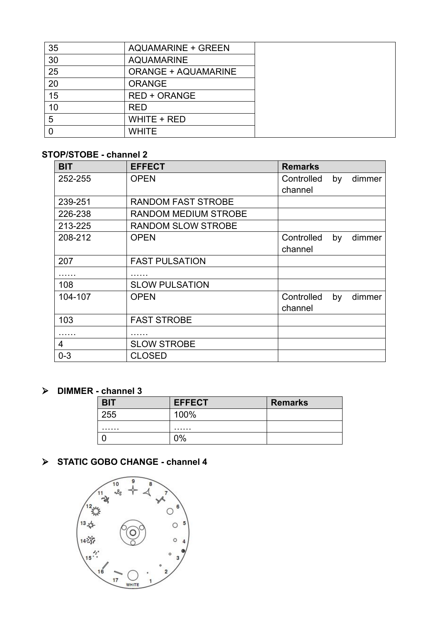| 35 | <b>AQUAMARINE + GREEN</b>  |
|----|----------------------------|
| 30 | <b>AQUAMARINE</b>          |
| 25 | <b>ORANGE + AQUAMARINE</b> |
| 20 | <b>ORANGE</b>              |
| 15 | <b>RED + ORANGE</b>        |
| 10 | <b>RFD</b>                 |
| 5  | WHITE + RED                |
|    | <b>WHITE</b>               |

#### **STOP/STOBE - channel 2**

| <b>BIT</b>     | <b>EFFECT</b>               | <b>Remarks</b> |    |        |
|----------------|-----------------------------|----------------|----|--------|
| 252-255        | <b>OPEN</b>                 | Controlled     | by | dimmer |
|                |                             | channel        |    |        |
| 239-251        | <b>RANDOM FAST STROBE</b>   |                |    |        |
| 226-238        | <b>RANDOM MEDIUM STROBE</b> |                |    |        |
| 213-225        | <b>RANDOM SLOW STROBE</b>   |                |    |        |
| 208-212        | <b>OPEN</b>                 | Controlled     | by | dimmer |
|                |                             | channel        |    |        |
| 207            | <b>FAST PULSATION</b>       |                |    |        |
|                |                             |                |    |        |
| 108            | <b>SLOW PULSATION</b>       |                |    |        |
| 104-107        | <b>OPEN</b>                 | Controlled     | by | dimmer |
|                |                             | channel        |    |        |
| 103            | <b>FAST STROBE</b>          |                |    |        |
| .              |                             |                |    |        |
| $\overline{4}$ | <b>SLOW STROBE</b>          |                |    |        |
| $0 - 3$        | <b>CLOSED</b>               |                |    |        |

#### **DIMMER - channel 3**

| <b>BIT</b> | <b>EFFECT</b> | <b>Remarks</b> |
|------------|---------------|----------------|
| 255        | $100\%$       |                |
| .          | .             |                |
|            | ١%            |                |

#### **STATIC GOBO CHANGE - channel 4**

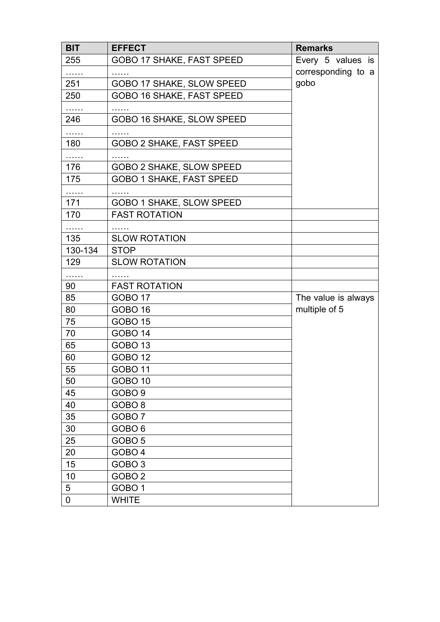| <b>BIT</b>  | <b>EFFECT</b>                   | <b>Remarks</b>      |
|-------------|---------------------------------|---------------------|
| 255         | GOBO 17 SHAKE, FAST SPEED       | Every 5 values is   |
| .           |                                 | corresponding to a  |
| 251         | GOBO 17 SHAKE, SLOW SPEED       | gobo                |
| 250         | GOBO 16 SHAKE, FAST SPEED       |                     |
| .           |                                 |                     |
| 246         | GOBO 16 SHAKE, SLOW SPEED       |                     |
| .           | .                               |                     |
| 180         | <b>GOBO 2 SHAKE, FAST SPEED</b> |                     |
| .           |                                 |                     |
| 176         | GOBO 2 SHAKE, SLOW SPEED        |                     |
| 175         | <b>GOBO 1 SHAKE, FAST SPEED</b> |                     |
| .           | .                               |                     |
| 171         | GOBO 1 SHAKE, SLOW SPEED        |                     |
| 170         | <b>FAST ROTATION</b>            |                     |
| .           |                                 |                     |
| 135         | <b>SLOW ROTATION</b>            |                     |
| 130-134     | <b>STOP</b>                     |                     |
| 129         | <b>SLOW ROTATION</b>            |                     |
| .           |                                 |                     |
| 90          | <b>FAST ROTATION</b>            |                     |
| 85          | <b>GOBO 17</b>                  | The value is always |
| 80          | GOBO <sub>16</sub>              | multiple of 5       |
| 75          | <b>GOBO 15</b>                  |                     |
| 70          | <b>GOBO 14</b>                  |                     |
| 65          | GOBO <sub>13</sub>              |                     |
| 60          | <b>GOBO 12</b>                  |                     |
| 55          | <b>GOBO 11</b>                  |                     |
| 50          | GOBO <sub>10</sub>              |                     |
| 45          | GOBO <sub>9</sub>               |                     |
| 40          | GOBO <sub>8</sub>               |                     |
| 35          | GOBO <sub>7</sub>               |                     |
| 30          | GOBO <sub>6</sub>               |                     |
| 25          | GOBO <sub>5</sub>               |                     |
| 20          | GOBO <sub>4</sub>               |                     |
| 15          | GOBO <sub>3</sub>               |                     |
| 10          | GOBO <sub>2</sub>               |                     |
| $\sqrt{5}$  | GOBO <sub>1</sub>               |                     |
| $\mathbf 0$ | <b>WHITE</b>                    |                     |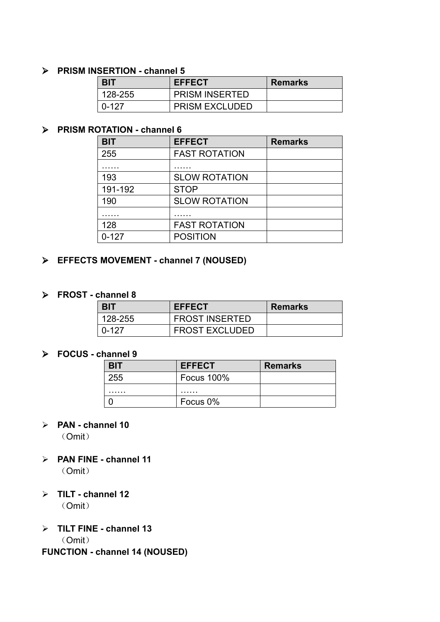#### **PRISM INSERTION - channel 5**

| <b>BIT</b>    | <b>EFFECT</b>         | <b>Remarks</b> |
|---------------|-----------------------|----------------|
| 128-255       | <b>PRISM INSERTED</b> |                |
| $\vert$ 0-127 | <b>PRISM EXCLUDED</b> |                |

#### **PRISM ROTATION - channel 6**

| <b>BIT</b> | <b>EFFECT</b>        | <b>Remarks</b> |
|------------|----------------------|----------------|
| 255        | <b>FAST ROTATION</b> |                |
| .          | .                    |                |
| 193        | <b>SLOW ROTATION</b> |                |
| 191-192    | <b>STOP</b>          |                |
| 190        | <b>SLOW ROTATION</b> |                |
| .          | .                    |                |
| 128        | <b>FAST ROTATION</b> |                |
| $0 - 127$  | <b>POSITION</b>      |                |

#### **EFFECTS MOVEMENT - channel 7 (NOUSED)**

#### **FROST - channel 8**

| <b>BIT</b> | <b>EFFECT</b>         | <b>Remarks</b> |
|------------|-----------------------|----------------|
| 128-255    | FROST INSERTED        |                |
| ∣ 0-127    | <b>FROST EXCLUDED</b> |                |

#### **FOCUS - channel 9**

| BIT | <b>EFFECT</b> | <b>Remarks</b> |
|-----|---------------|----------------|
| 255 | Focus 100%    |                |
| .   | .             |                |
|     | Focus 0%      |                |

#### **PAN - channel 10**

(Omit)

- **PAN FINE - channel 11** (Omit)
- **TILT - channel 12** (Omit)
- **TILT FINE - channel 13** (Omit)

**FUNCTION - channel 14 (NOUSED)**